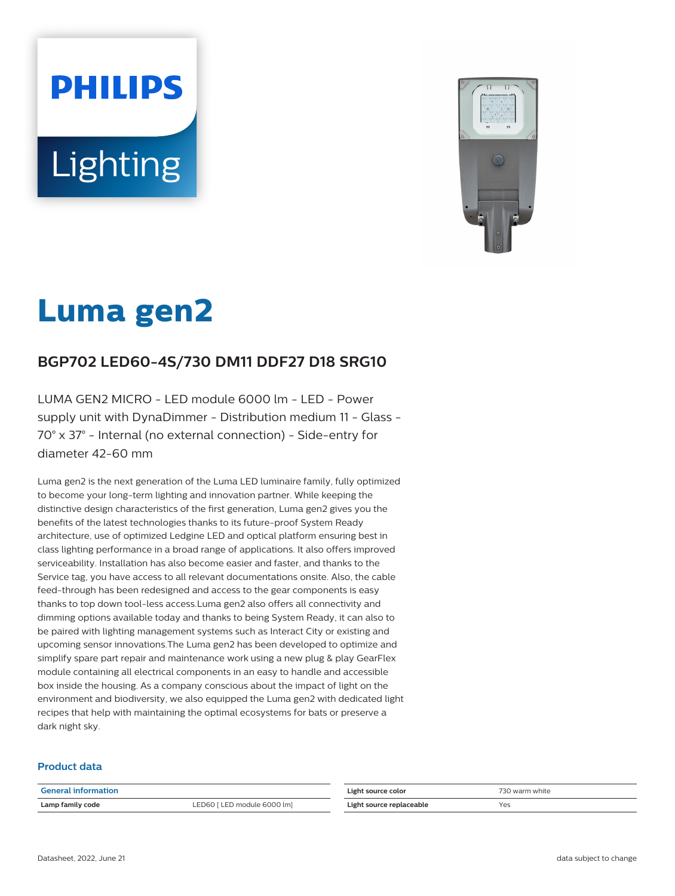# **PHILIPS Lighting**



# **Luma gen2**

# **BGP702 LED60-4S/730 DM11 DDF27 D18 SRG10**

LUMA GEN2 MICRO - LED module 6000 lm - LED - Power supply unit with DynaDimmer - Distribution medium 11 - Glass - 70° x 37° - Internal (no external connection) - Side-entry for diameter 42-60 mm

Luma gen2 is the next generation of the Luma LED luminaire family, fully optimized to become your long-term lighting and innovation partner. While keeping the distinctive design characteristics of the first generation, Luma gen2 gives you the benefits of the latest technologies thanks to its future-proof System Ready architecture, use of optimized Ledgine LED and optical platform ensuring best in class lighting performance in a broad range of applications. It also offers improved serviceability. Installation has also become easier and faster, and thanks to the Service tag, you have access to all relevant documentations onsite. Also, the cable feed-through has been redesigned and access to the gear components is easy thanks to top down tool-less access.Luma gen2 also offers all connectivity and dimming options available today and thanks to being System Ready, it can also to be paired with lighting management systems such as Interact City or existing and upcoming sensor innovations.The Luma gen2 has been developed to optimize and simplify spare part repair and maintenance work using a new plug & play GearFlex module containing all electrical components in an easy to handle and accessible box inside the housing. As a company conscious about the impact of light on the environment and biodiversity, we also equipped the Luma gen2 with dedicated light recipes that help with maintaining the optimal ecosystems for bats or preserve a dark night sky.

#### **Product data**

| <b>General information</b> |                             | Light source color       | 730 warm white |
|----------------------------|-----------------------------|--------------------------|----------------|
| Lamp family code           | LED60 [ LED module 6000 lm] | Light source replaceable | Yes            |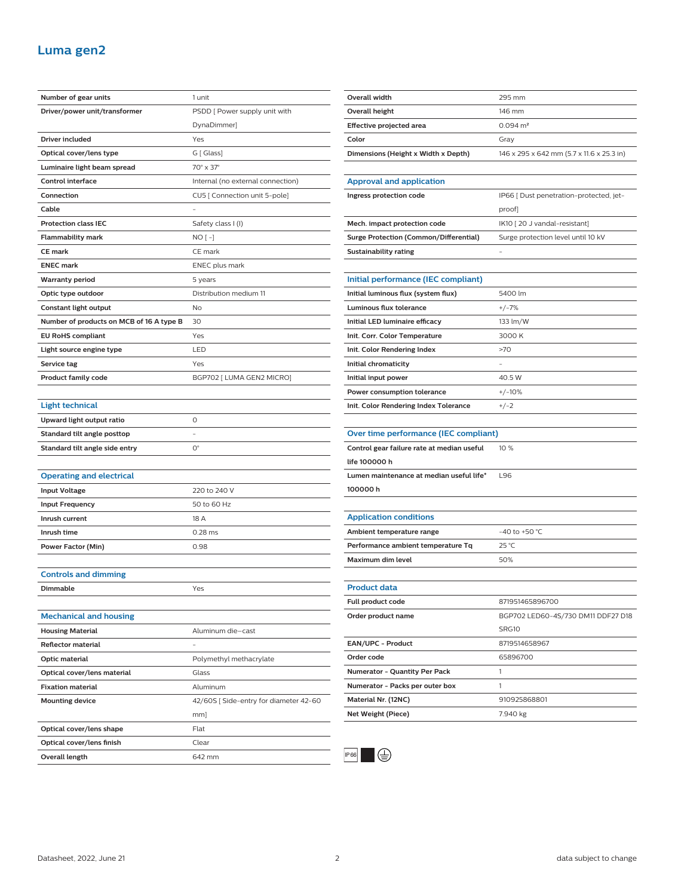## **Luma gen2**

| Number of gear units                     | 1 unit                                |  |
|------------------------------------------|---------------------------------------|--|
| Driver/power unit/transformer            | PSDD [ Power supply unit with         |  |
|                                          | DynaDimmer]                           |  |
| Driver included                          | Yes                                   |  |
| Optical cover/lens type                  | G [ Glass]                            |  |
| Luminaire light beam spread              | 70° x 37°                             |  |
| <b>Control interface</b>                 | Internal (no external connection)     |  |
| Connection                               | CU5 [ Connection unit 5-pole]         |  |
| Cable                                    |                                       |  |
| <b>Protection class IEC</b>              | Safety class I (I)                    |  |
| <b>Flammability mark</b>                 | $NO[-]$                               |  |
| <b>CE mark</b>                           | CE mark                               |  |
| <b>ENEC mark</b>                         | ENEC plus mark                        |  |
| <b>Warranty period</b>                   | 5 years                               |  |
| Optic type outdoor                       | Distribution medium 11                |  |
| Constant light output                    | No                                    |  |
| Number of products on MCB of 16 A type B | 30                                    |  |
| <b>EU RoHS compliant</b>                 | Yes                                   |  |
| Light source engine type                 | LED                                   |  |
| Service tag                              | Yes                                   |  |
| <b>Product family code</b>               | BGP702 [ LUMA GEN2 MICRO]             |  |
|                                          |                                       |  |
| <b>Light technical</b>                   |                                       |  |
| Upward light output ratio                | 0                                     |  |
| Standard tilt angle posttop              |                                       |  |
| Standard tilt angle side entry           | $O^{\circ}$                           |  |
|                                          |                                       |  |
| <b>Operating and electrical</b>          |                                       |  |
| <b>Input Voltage</b>                     | 220 to 240 V                          |  |
| <b>Input Frequency</b>                   | 50 to 60 Hz                           |  |
| Inrush current                           | 18 A                                  |  |
| Inrush time                              | $0.28$ ms                             |  |
| <b>Power Factor (Min)</b>                | 0.98                                  |  |
|                                          |                                       |  |
| <b>Controls and dimming</b>              |                                       |  |
| <b>Dimmable</b>                          | Yes                                   |  |
|                                          |                                       |  |
| <b>Mechanical and housing</b>            |                                       |  |
| <b>Housing Material</b>                  | Aluminum die-cast                     |  |
| <b>Reflector material</b>                |                                       |  |
| Optic material                           | Polymethyl methacrylate               |  |
| Optical cover/lens material              | Glass                                 |  |
| <b>Fixation material</b>                 | Aluminum                              |  |
| <b>Mounting device</b>                   | 42/60S [Side-entry for diameter 42-60 |  |
|                                          | mm]                                   |  |
| Optical cover/lens shape                 |                                       |  |
|                                          | Flat                                  |  |
| Optical cover/lens finish                | Clear                                 |  |

| Overall width                                 | 295 mm                                    |  |
|-----------------------------------------------|-------------------------------------------|--|
| Overall height                                | 146 mm                                    |  |
| Effective projected area                      | $0.094 \, \text{m}^2$                     |  |
| Color                                         | Gray                                      |  |
| Dimensions (Height x Width x Depth)           | 146 x 295 x 642 mm (5.7 x 11.6 x 25.3 in) |  |
|                                               |                                           |  |
| <b>Approval and application</b>               |                                           |  |
| Ingress protection code                       | IP66 [ Dust penetration-protected, jet-   |  |
|                                               | proof]                                    |  |
| Mech. impact protection code                  | IK10 [20 J vandal-resistant]              |  |
| <b>Surge Protection (Common/Differential)</b> | Surge protection level until 10 kV        |  |
| Sustainability rating                         |                                           |  |
|                                               |                                           |  |
| Initial performance (IEC compliant)           |                                           |  |
| Initial luminous flux (system flux)           | 5400 lm                                   |  |
| Luminous flux tolerance                       | $+/-7%$                                   |  |
| Initial LED luminaire efficacy                | 133 lm/W                                  |  |
| Init. Corr. Color Temperature                 | 3000 K                                    |  |
| Init. Color Rendering Index                   | >70                                       |  |
| Initial chromaticity                          |                                           |  |
| Initial input power                           | 40.5 W                                    |  |
| Power consumption tolerance                   | $+/-10%$                                  |  |
| Init. Color Rendering Index Tolerance         | $+/-2$                                    |  |
|                                               |                                           |  |
| Over time performance (IEC compliant)         |                                           |  |
| Control gear failure rate at median useful    | 10 %                                      |  |
| life 100000 h                                 |                                           |  |
| Lumen maintenance at median useful life*      | L96                                       |  |
| 100000h                                       |                                           |  |
|                                               |                                           |  |
| <b>Application conditions</b>                 |                                           |  |
| Ambient temperature range                     | -40 to +50 $^{\circ}$ C                   |  |
| Performance ambient temperature Tq            | 25 °C                                     |  |
| Maximum dim level                             | 50%                                       |  |
|                                               |                                           |  |
| <b>Product data</b>                           |                                           |  |
| Full product code                             | 871951465896700                           |  |
| Order product name                            | BGP702 LED60-4S/730 DM11 DDF27 D18        |  |
|                                               | SRG10                                     |  |
| EAN/UPC - Product                             | 8719514658967                             |  |
| Order code                                    | 65896700                                  |  |
| Numerator - Quantity Per Pack                 | 1                                         |  |
|                                               |                                           |  |
| Numerator - Packs per outer box               | 1                                         |  |
| Material Nr. (12NC)                           | 910925868801                              |  |